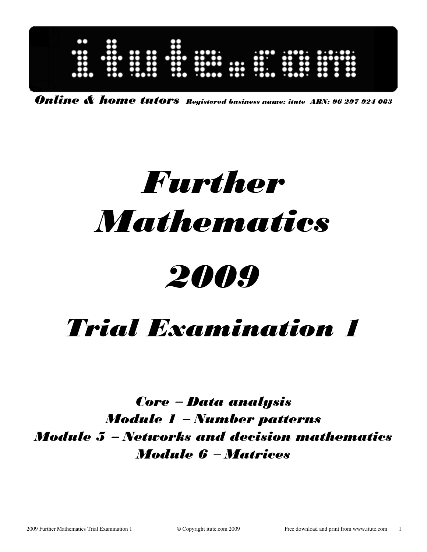| $\bullet\bullet$<br> | 8<br>66                                           | $\bullet\bullet$   | $\bullet$<br>               | $\bullet\bullet\bullet\bullet\bullet\bullet$<br>$\bullet\bullet$<br><b>TOO</b> |                           | .<br>$\bullet\bullet\bullet$ |                                                             | $\cdots$<br>                                            |  |
|----------------------|---------------------------------------------------|--------------------|-----------------------------|--------------------------------------------------------------------------------|---------------------------|------------------------------|-------------------------------------------------------------|---------------------------------------------------------|--|
|                      | $\bullet$<br>$\bullet$<br>$\bullet\bullet\bullet$ | 60<br>00<br>. 0000 | <br>$\bullet\bullet$<br>ã00 | 00000<br><b>Mood 191</b> 1900                                                  | $\bullet \bullet \bullet$ | $\bullet$                    | 60<br>$\mathbf{O}$<br>$\cdot \bullet \bullet \bullet \cdot$ | ۰<br>$\bullet\bullet$<br>O<br>$\mathbf{O}$<br>$\bullet$ |  |

Online & home tutors Registered business name: itute ABN: 96 297 924 083

# Further **Mathematics**

# 2009

# Trial Examination 1

Core − Data analysis Module 1 − Number patterns Module 5 − Networks and decision mathematics Module 6 − Matrices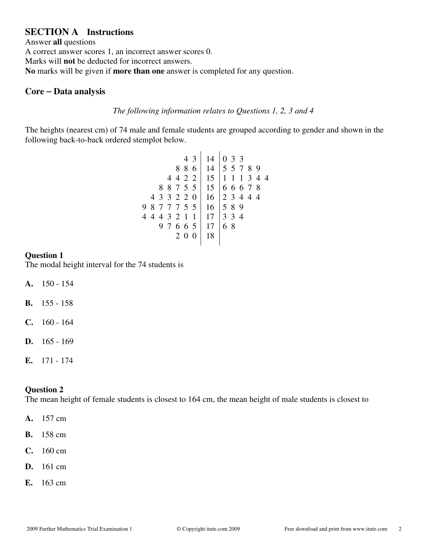# **SECTION A Instructions**

Answer **all** questions A correct answer scores 1, an incorrect answer scores 0. Marks will **not** be deducted for incorrect answers. **No** marks will be given if **more than one** answer is completed for any question.

#### **Core** − **Data analysis**

#### *The following information relates to Questions 1, 2, 3 and 4*

The heights (nearest cm) of 74 male and female students are grouped according to gender and shown in the following back-to-back ordered stemplot below.

| 4 3                          |    | $14$   0 3 3               |
|------------------------------|----|----------------------------|
|                              |    | 8 8 6 14 5 5 7 8 9         |
|                              |    | 4 4 2 2   15   1 1 1 3 4 4 |
| 8 8 7 5 5   15   6 6 6 7 8   |    |                            |
| 4 3 3 2 2 0   16   2 3 4 4 4 |    |                            |
| 9 8 7 7 7 5 5   16   5 8 9   |    |                            |
| 4 4 4 3 2 1 1   17   3 3 4   |    |                            |
| 9 7 6 6 5   17   6 8         |    |                            |
| 2 0 0                        | 18 |                            |
|                              |    |                            |

#### **Question 1**

The modal height interval for the 74 students is

- **A.** 150 154
- **B.** 155 158
- **C.** 160 164
- **D.** 165 169
- **E.** 171 174

#### **Question 2**

The mean height of female students is closest to 164 cm, the mean height of male students is closest to

- **A.** 157 cm
- **B.** 158 cm
- **C.** 160 cm
- **D.** 161 cm
- **E.** 163 cm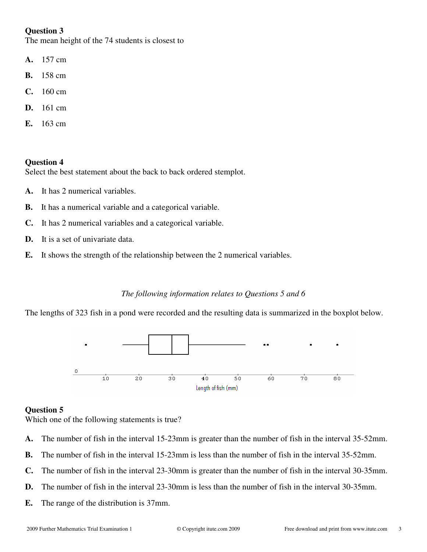The mean height of the 74 students is closest to

- **A.** 157 cm
- **B.** 158 cm
- **C.** 160 cm
- **D.** 161 cm
- **E.** 163 cm

#### **Question 4**

Select the best statement about the back to back ordered stemplot.

- **A.** It has 2 numerical variables.
- **B.** It has a numerical variable and a categorical variable.
- **C.** It has 2 numerical variables and a categorical variable.
- **D.** It is a set of univariate data.
- **E.** It shows the strength of the relationship between the 2 numerical variables.

#### *The following information relates to Questions 5 and 6*

The lengths of 323 fish in a pond were recorded and the resulting data is summarized in the boxplot below.



#### **Question 5**

Which one of the following statements is true?

- **A.** The number of fish in the interval 15-23mm is greater than the number of fish in the interval 35-52mm.
- **B.** The number of fish in the interval 15-23mm is less than the number of fish in the interval 35-52mm.
- **C.** The number of fish in the interval 23-30mm is greater than the number of fish in the interval 30-35mm.
- **D.** The number of fish in the interval 23-30mm is less than the number of fish in the interval 30-35mm.
- **E.** The range of the distribution is 37mm.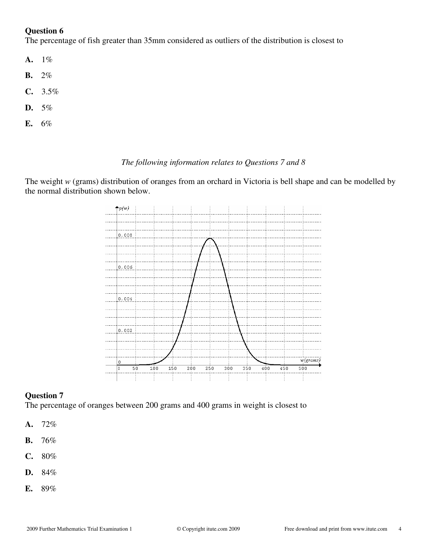The percentage of fish greater than 35mm considered as outliers of the distribution is closest to

- **A.** 1%
- **B.** 2%
- **C.** 3.5%
- **D.** 5%
- **E.** 6%

#### *The following information relates to Questions 7 and 8*

The weight *w* (grams) distribution of oranges from an orchard in Victoria is bell shape and can be modelled by the normal distribution shown below.



#### **Question 7**

The percentage of oranges between 200 grams and 400 grams in weight is closest to

- **A.** 72%
- **B.** 76%
- **C.** 80%
- **D.** 84%
- **E.** 89%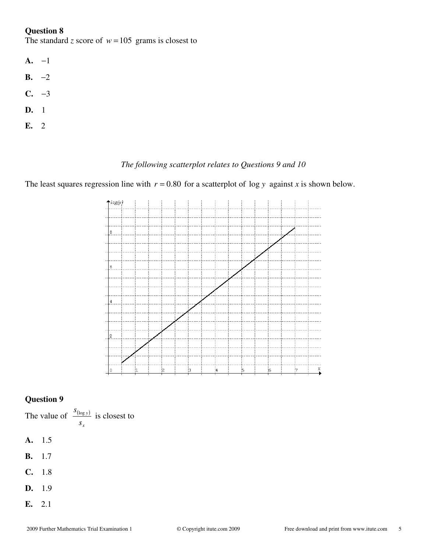The standard *z* score of  $w = 105$  grams is closest to

- **A.** −1
- **B.** −2
- **C.** −3
- **D.** 1
- **E.** 2

#### *The following scatterplot relates to Questions 9 and 10*

The least squares regression line with  $r = 0.80$  for a scatterplot of log y against *x* is shown below.



#### **Question 9**

The value of  $\frac{S_{(\log y)}}{y}$ *x y s*  $\frac{S_{(\log y)}}{\log y}$  is closest to

- **A.** 1.5
- **B.** 1.7
- **C.** 1.8
- **D.** 1.9
- **E.** 2.1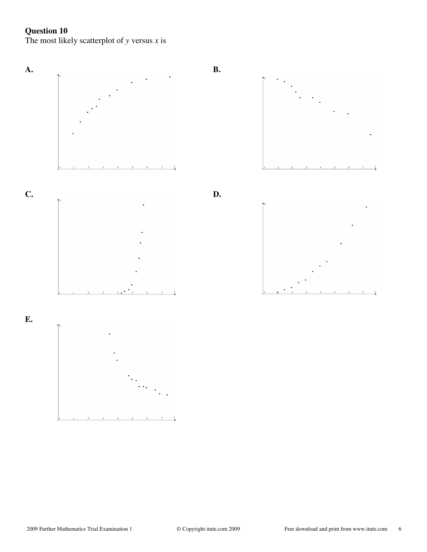The most likely scatterplot of *y* versus *x* is

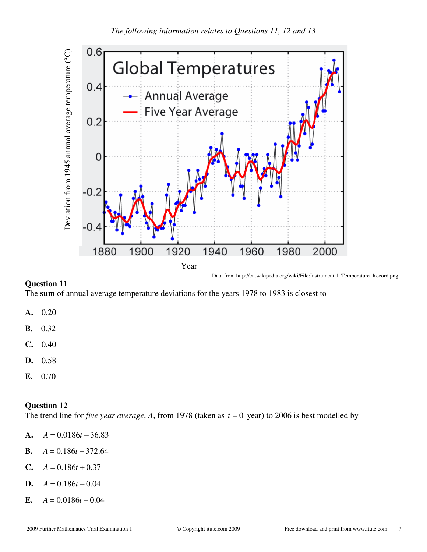

The **sum** of annual average temperature deviations for the years 1978 to 1983 is closest to

- **A.** 0.20
- **B.** 0.32
- **C.** 0.40
- **D.** 0.58
- **E.** 0.70

#### **Question 12**

The trend line for *five year average*, A, from 1978 (taken as  $t = 0$  year) to 2006 is best modelled by

- **A.**  $A = 0.0186t 36.83$
- **B.**  $A = 0.186t 372.64$
- **C.**  $A = 0.186t + 0.37$
- **D.**  $A = 0.186t 0.04$
- **E.**  $A = 0.0186t 0.04$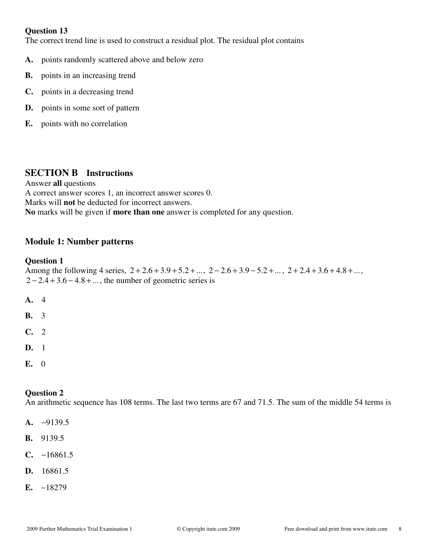The correct trend line is used to construct a residual plot. The residual plot contains

- **A.** points randomly scattered above and below zero
- **B.** points in an increasing trend
- **C.** points in a decreasing trend
- **D.** points in some sort of pattern
- **E.** points with no correlation

# **SECTION B Instructions**

Answer **all** questions A correct answer scores 1, an incorrect answer scores 0. Marks will **not** be deducted for incorrect answers. **No** marks will be given if **more than one** answer is completed for any question.

# **Module 1: Number patterns**

#### **Question 1**

Among the following 4 series,  $2 + 2.6 + 3.9 + 5.2 + ...$ ,  $2 - 2.6 + 3.9 - 5.2 + ...$ ,  $2 + 2.4 + 3.6 + 4.8 + ...$  $2 - 2.4 + 3.6 - 4.8 + \dots$ , the number of geometric series is

- **A.** 4 **B.** 3
- **C.** 2
- **D.** 1
- **E.** 0

#### **Question 2**

An arithmetic sequence has 108 terms. The last two terms are 67 and 71.5. The sum of the middle 54 terms is

- **A.** −9139.5
- **B.** 9139.5
- **C.** −16861.5
- **D.** 16861.5
- **E.** −18279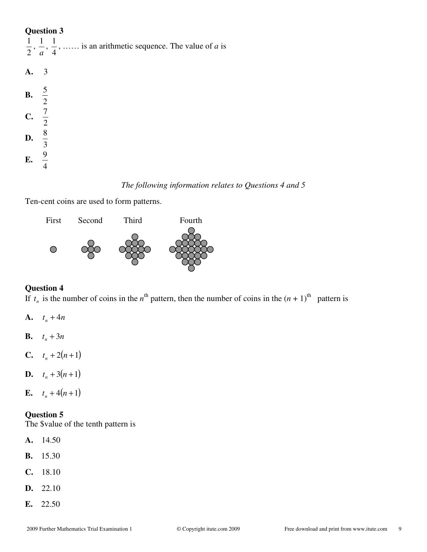|                         | $\frac{1}{2}$ , $\frac{1}{a}$ , $\frac{1}{4}$ ,  is an arithmetic sequence. The value of <i>a</i> is |
|-------------------------|------------------------------------------------------------------------------------------------------|
| A. 3                    |                                                                                                      |
| <b>B.</b> $\frac{5}{2}$ |                                                                                                      |
| <b>C.</b> $\frac{7}{2}$ |                                                                                                      |
| <b>D.</b> $\frac{8}{3}$ |                                                                                                      |
| <b>E.</b> $\frac{9}{4}$ |                                                                                                      |

# *The following information relates to Questions 4 and 5*

Ten-cent coins are used to form patterns.



#### **Question 4**

If  $t_n$  is the number of coins in the  $n^{\text{th}}$  pattern, then the number of coins in the  $(n + 1)^{\text{th}}$  pattern is

- **A.**  $t_n + 4n$
- **B.**  $t_n + 3n$
- **C.**  $t_n + 2(n+1)$
- **D.**  $t_n + 3(n+1)$
- **E.**  $t_n + 4(n+1)$

#### **Question 5**

The \$value of the tenth pattern is

- **A.** 14.50
- **B.** 15.30
- **C.** 18.10
- **D.** 22.10
- **E.** 22.50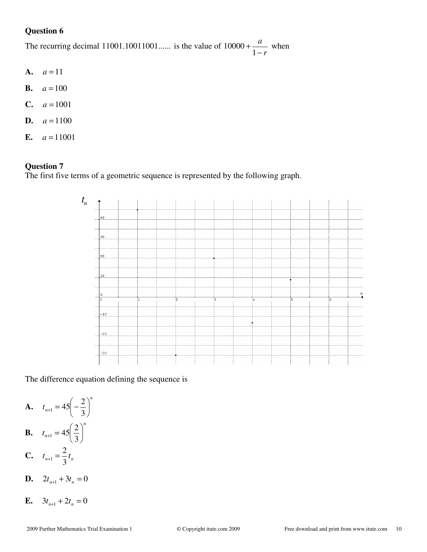The recurring decimal  $11001.10011001...$  is the value of *r a* − + 1  $10000 + \frac{u}{1}$  when

- **A.**  $a = 11$
- **B.**  $a = 100$
- **C.**  $a = 1001$
- **D.**  $a = 1100$
- **E.**  $a = 11001$

# **Question 7**

The first five terms of a geometric sequence is represented by the following graph.



The difference equation defining the sequence is

**A.** 
$$
t_{n+1} = 45 \left( -\frac{2}{3} \right)^n
$$
  
**B.**  $t_{n+1} = 45 \left( \frac{2}{3} \right)^n$ 

C. 
$$
t_{n+1} = \frac{2}{3}t_n
$$

- **D.**  $2t_{n+1} + 3t_n = 0$
- **E.**  $3t_{n+1} + 2t_n = 0$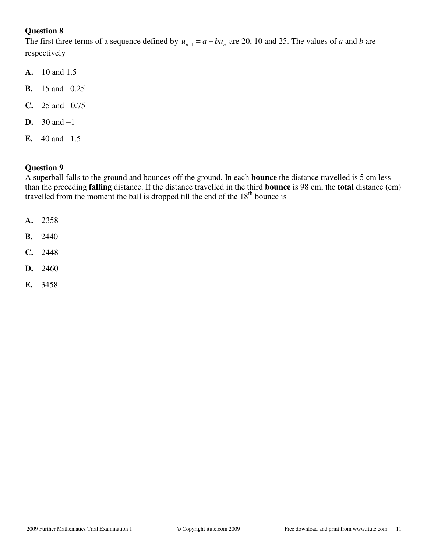The first three terms of a sequence defined by  $u_{n+1} = a + bu_n$  are 20, 10 and 25. The values of *a* and *b* are respectively

- **A.** 10 and 1.5
- **B.** 15 and −0.25
- **C.** 25 and −0.75
- **D.** 30 and −1
- **E.** 40 and  $-1.5$

#### **Question 9**

A superball falls to the ground and bounces off the ground. In each **bounce** the distance travelled is 5 cm less than the preceding **falling** distance. If the distance travelled in the third **bounce** is 98 cm, the **total** distance (cm) travelled from the moment the ball is dropped till the end of the  $18<sup>th</sup>$  bounce is

- **A.** 2358
- **B.** 2440
- **C.** 2448
- **D.** 2460
- **E.** 3458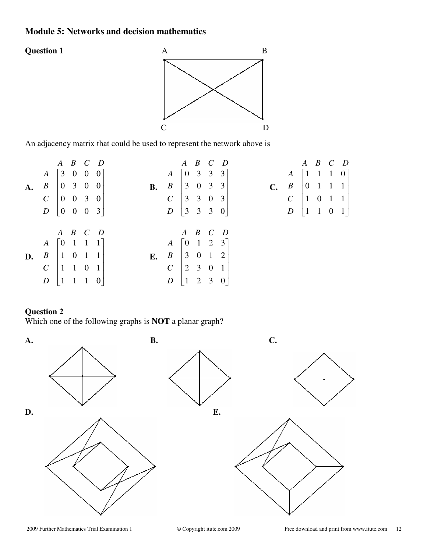# **Module 5: Networks and decision mathematics**





An adjacency matrix that could be used to represent the network above is

|    |                                                 | $A$ $B$ $C$ $D$                               |  |           |                                                 | $A$ $B$ $C$ $D$                               |  |  |                                                    |                                                 | $A$ $B$ $C$ $D$                               |  |  |
|----|-------------------------------------------------|-----------------------------------------------|--|-----------|-------------------------------------------------|-----------------------------------------------|--|--|----------------------------------------------------|-------------------------------------------------|-----------------------------------------------|--|--|
|    | $A \begin{bmatrix} 3 & 0 & 0 & 0 \end{bmatrix}$ |                                               |  |           | $A \begin{bmatrix} 0 & 3 & 3 & 3 \end{bmatrix}$ |                                               |  |  |                                                    | $A \begin{bmatrix} 1 & 1 & 1 & 0 \end{bmatrix}$ |                                               |  |  |
| A. | $B \begin{bmatrix} 0 & 3 & 0 & 0 \end{bmatrix}$ |                                               |  | <b>B.</b> | $B \begin{bmatrix} 3 & 0 & 3 & 3 \end{bmatrix}$ |                                               |  |  | C. $B \begin{bmatrix} 0 & 1 & 1 & 1 \end{bmatrix}$ |                                                 |                                               |  |  |
|    | $\mathcal{C}$                                   | $\begin{vmatrix} 0 & 0 & 3 & 0 \end{vmatrix}$ |  |           | $C \begin{bmatrix} 3 & 3 & 0 & 3 \end{bmatrix}$ |                                               |  |  |                                                    | $C$   1   0   1                                 |                                               |  |  |
|    | $D \begin{bmatrix} 0 & 0 & 0 & 3 \end{bmatrix}$ |                                               |  |           | $D$ 3 3 3 0                                     |                                               |  |  |                                                    | $\boldsymbol{D}$                                | $\begin{bmatrix} 1 & 1 & 0 & 1 \end{bmatrix}$ |  |  |
|    |                                                 |                                               |  |           |                                                 |                                               |  |  |                                                    |                                                 |                                               |  |  |
|    |                                                 | $A$ $B$ $C$ $D$                               |  |           |                                                 | $A$ $B$ $C$ $D$                               |  |  |                                                    |                                                 |                                               |  |  |
|    | $A \begin{bmatrix} 0 & 1 & 1 & 1 \end{bmatrix}$ |                                               |  |           | $A \begin{bmatrix} 0 & 1 & 2 & 3 \end{bmatrix}$ |                                               |  |  |                                                    |                                                 |                                               |  |  |
| D. | $B$   1 0 1 1                                   |                                               |  | E.        | $B \begin{bmatrix} 3 & 0 & 1 & 2 \end{bmatrix}$ |                                               |  |  |                                                    |                                                 |                                               |  |  |
|    | $\mathcal{C}_{\mathcal{C}}$                     | $\begin{pmatrix} 1 & 1 & 0 & 1 \end{pmatrix}$ |  |           | $\mathcal{C}$                                   | $\begin{vmatrix} 2 & 3 & 0 & 1 \end{vmatrix}$ |  |  |                                                    |                                                 |                                               |  |  |
|    | $D\begin{bmatrix}1&1&1&0\end{bmatrix}$          |                                               |  |           | $\boldsymbol{D}$                                | $\begin{vmatrix} 1 & 2 & 3 & 0 \end{vmatrix}$ |  |  |                                                    |                                                 |                                               |  |  |

# **Question 2**

Which one of the following graphs is **NOT** a planar graph?

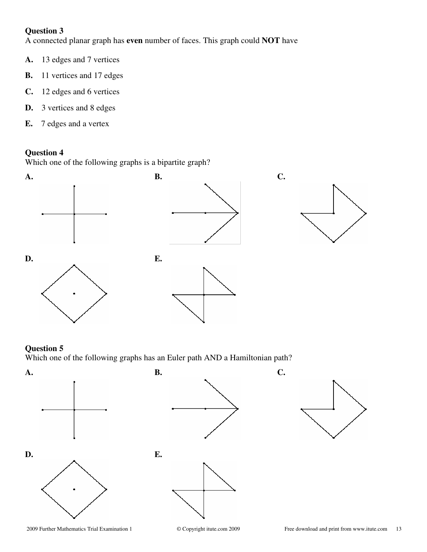A connected planar graph has **even** number of faces. This graph could **NOT** have

- **A.** 13 edges and 7 vertices
- **B.** 11 vertices and 17 edges
- **C.** 12 edges and 6 vertices
- **D.** 3 vertices and 8 edges
- **E.** 7 edges and a vertex

# **Question 4**

Which one of the following graphs is a bipartite graph?



#### **Question 5**

Which one of the following graphs has an Euler path AND a Hamiltonian path?

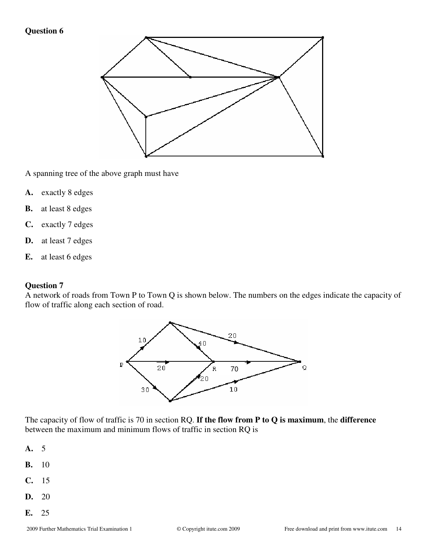

A spanning tree of the above graph must have

- **A.** exactly 8 edges
- **B.** at least 8 edges
- **C.** exactly 7 edges
- **D.** at least 7 edges
- **E.** at least 6 edges

#### **Question 7**

A network of roads from Town P to Town Q is shown below. The numbers on the edges indicate the capacity of flow of traffic along each section of road.



The capacity of flow of traffic is 70 in section RQ. **If the flow from P to Q is maximum**, the **difference** between the maximum and minimum flows of traffic in section RQ is

- **A.** 5
- **B.** 10
- **C.** 15
- **D.** 20
- **E.** 25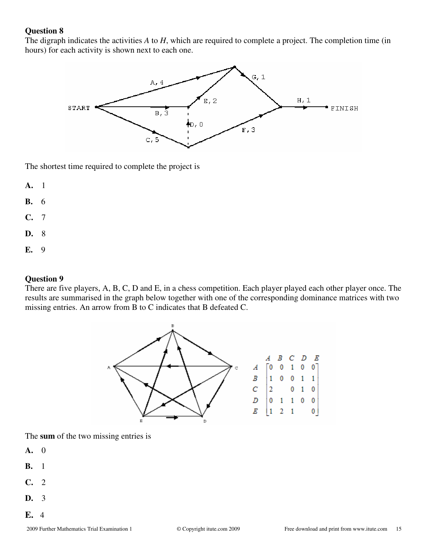The digraph indicates the activities *A* to *H*, which are required to complete a project. The completion time (in hours) for each activity is shown next to each one.



The shortest time required to complete the project is

- **A.** 1
- **B.** 6
- **C.** 7
- **D.** 8
- **E.** 9

#### **Question 9**

There are five players, A, B, C, D and E, in a chess competition. Each player played each other player once. The results are summarised in the graph below together with one of the corresponding dominance matrices with two missing entries. An arrow from B to C indicates that B defeated C.



The **sum** of the two missing entries is

- **A.** 0
- **B.** 1
- **C.** 2
- **D.** 3
- **E.** 4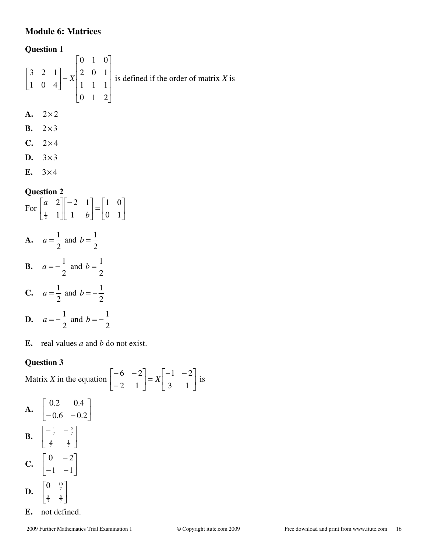# **Module 6: Matrices**

#### **Question 1**

$$
\begin{bmatrix} 3 & 2 & 1 \\ 1 & 0 & 4 \end{bmatrix} - X \begin{bmatrix} 0 & 1 & 0 \\ 2 & 0 & 1 \\ 1 & 1 & 1 \\ 0 & 1 & 2 \end{bmatrix}
$$
 is defined if the order of matrix X is

- $A. \quad 2 \times 2$
- **B.**  $2 \times 3$
- $C. 2 \times 4$
- D.  $3 \times 3$
- **E.**  $3 \times 4$

# **Question 2**

For  $\begin{vmatrix} 1 & 1 \\ 1 & 1 \end{vmatrix}$   $\begin{vmatrix} 1 & 1 \\ 1 & 1 \end{vmatrix}$  =  $\begin{vmatrix} 1 & 1 \\ 0 & 1 \end{vmatrix}$  $\rfloor$ 1  $\mathbf{r}$ L  $\lceil$  $\vert$  $\overline{\phantom{a}}$ ⅂  $\mathbf{r}$ L −  $\overline{\phantom{a}}$  $\rfloor$ ⅂  $\mathbf{r}$ L  $\lceil$ 0 1 1 0 1 2 1 1 2  $\frac{1}{2}$  1 | 1 *b a* **A.** 2  $a = \frac{1}{2}$  and 2  $b = \frac{1}{2}$ **B.** 2  $a = -\frac{1}{2}$  and 2  $b = \frac{1}{2}$ **C.** 2  $a = \frac{1}{2}$  and 2  $b = -\frac{1}{2}$ **D.** 2  $a = -\frac{1}{2}$  and 2  $b = -\frac{1}{2}$ 

**E.** real values *a* and *b* do not exist.

# **Question 3**

Matrix *X* in the equation  $\begin{vmatrix} 0 & 1 \ 0 & 1 \end{vmatrix} = X \begin{vmatrix} 0 & 1 \ 0 & 1 \end{vmatrix}$ 」 1  $\mathbf{r}$ L  $\begin{bmatrix} -1 & - \end{bmatrix}$  $\Big| =$ 」 1  $\mathsf{L}$ L Γ − − − 3 1  $1 - 2$ 2 1  $6 - 2$  $X\begin{bmatrix} 1 \\ 2 \end{bmatrix}$  is  $A. \begin{bmatrix} 1 & 1 \\ 0 & 0 \end{bmatrix}$  $\rfloor$ 1 L L Γ  $-0.6$   $-0.2$  $0.2 \qquad 0.4$ **B.**  $\begin{bmatrix} 1 & 1 \\ 1 & 1 \end{bmatrix}$  $\rfloor$ ⅂  $\mathbf{r}$ L  $\begin{bmatrix} -\frac{1}{7} & - \end{bmatrix}$  $\frac{3}{7}$   $\frac{1}{7}$  $rac{1}{7}$   $-\frac{2}{7}$  $C. \begin{bmatrix} 1 & 1 \\ 1 & 1 \end{bmatrix}$ ן  $\mathsf{L}$ Γ −  $0 -2$ 

 $\rfloor$ L  $-1$  –  $1 - 1$  $\mathbf{D.} \begin{bmatrix} 5 & 7 \\ 5 & 5 \end{bmatrix}$  $\rfloor$ 1  $\mathsf{L}$ L Γ  $rac{5}{7}$   $rac{5}{7}$  $0 \frac{10}{7}$ 

**E.** not defined.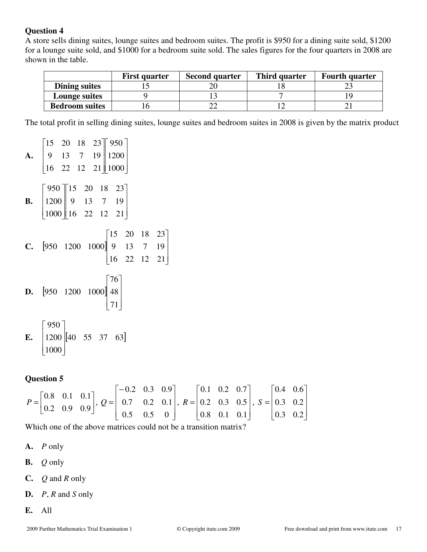A store sells dining suites, lounge suites and bedroom suites. The profit is \$950 for a dining suite sold, \$1200 for a lounge suite sold, and \$1000 for a bedroom suite sold. The sales figures for the four quarters in 2008 are shown in the table.

|                       | <b>First quarter</b> | <b>Second quarter</b> | Third quarter | <b>Fourth quarter</b> |
|-----------------------|----------------------|-----------------------|---------------|-----------------------|
| Dining suites         |                      |                       |               |                       |
| <b>Lounge suites</b>  |                      |                       |               |                       |
| <b>Bedroom suites</b> |                      |                       |               |                       |

The total profit in selling dining suites, lounge suites and bedroom suites in 2008 is given by the matrix product

**A.**  $\begin{bmatrix} 16 & 22 & 12 & 21 \end{bmatrix}$   $\begin{bmatrix} 1000 \end{bmatrix}$  $\overline{\phantom{a}}$  $\overline{\phantom{a}}$  $\begin{bmatrix} 15 & 20 & 18 & 23 \end{bmatrix}$  950  $\mathbf{r}$ L  $\overline{\phantom{a}}$  $\overline{\phantom{a}}$  $\mathbf{r}$  $9 \t13 \t7 \t19 \t1200$ **B.**  $\left\lfloor 1000 \right\rfloor$  16 22 12 21  $\overline{\phantom{a}}$  $\overline{\phantom{a}}$  $23$  $\mathbf{r}$ L 15 20 18 23 950  $\overline{\phantom{a}}$  $\overline{\phantom{a}}$  $\mathbf{r}$  $|_{1200}$ Г 13 7 **C.**  $[950 \t1200 \t1000]$  $\begin{bmatrix} 16 & 22 & 12 & 21 \end{bmatrix}$  $\overline{\phantom{a}}$  $\overline{\phantom{a}}$ 23  $[950 \t1200 \t1000]$  9 13 7 19  $\begin{bmatrix} 15 & 20 & 18 & 23 \end{bmatrix}$ **D.**  $[950 \t1200 \t1000] 48$  $\lfloor 71 \rfloor$  $\overline{\phantom{a}}$  $\lceil 76 \rceil$  $\mathbf{r}$  $950 \quad 1200 \quad 1000$  48 **E.**  $\begin{bmatrix} 1200 \\ 40 & 55 & 37 & 63 \end{bmatrix}$  $\lfloor 1000 \rfloor$ 950  $\overline{\phantom{a}}$ 1  $\mathbf{r}$  $\mathbf{r}$  $\lceil$ 

#### **Question 5**

|  |                                                                                                                                                                                                                                                                                                                                 | $\begin{bmatrix} -0.2 & 0.3 & 0.9 \end{bmatrix}$ $\begin{bmatrix} 0.1 & 0.2 & 0.7 \end{bmatrix}$ $\begin{bmatrix} 0.4 & 0.6 \end{bmatrix}$ |  |  |  |  |  |
|--|---------------------------------------------------------------------------------------------------------------------------------------------------------------------------------------------------------------------------------------------------------------------------------------------------------------------------------|--------------------------------------------------------------------------------------------------------------------------------------------|--|--|--|--|--|
|  | $P = \begin{bmatrix} 0.8 & 0.1 & 0.1 \\ 0.2 & 0.9 & 0.9 \end{bmatrix}, Q = \begin{bmatrix} 0.2 & 0.5 & 0.5 \\ 0.7 & 0.2 & 0.1 \\ 0.5 & 0.5 & 0.1 \end{bmatrix}, R = \begin{bmatrix} 0.1 & 0.2 & 0.5 \\ 0.2 & 0.3 & 0.5 \\ 0.8 & 0.1 & 0.1 \end{bmatrix}, S = \begin{bmatrix} 0.4 & 0.0 \\ 0.3 & 0.2 \\ 0.2 & 0.2 \end{bmatrix}$ |                                                                                                                                            |  |  |  |  |  |
|  |                                                                                                                                                                                                                                                                                                                                 | $\begin{vmatrix} 0.5 & 0.5 & 0 \end{vmatrix}$ $\begin{vmatrix} 0.8 & 0.1 & 0.1 \end{vmatrix}$ $\begin{vmatrix} 0.3 & 0.2 \end{vmatrix}$    |  |  |  |  |  |
|  |                                                                                                                                                                                                                                                                                                                                 |                                                                                                                                            |  |  |  |  |  |

Which one of the above matrices could not be a transition matrix?

- **A.** *P* only
- **B.** *Q* only
- **C.** *Q* and *R* only
- **D.** *P*, *R* and *S* only
- **E.** All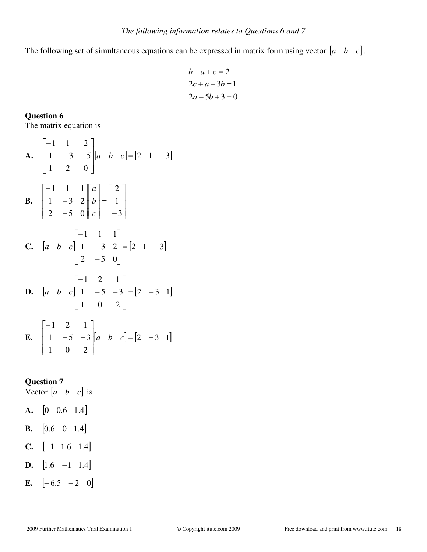The following set of simultaneous equations can be expressed in matrix form using vector  $\begin{bmatrix} a & b & c \end{bmatrix}$ .

$$
b-a+c=2
$$
  
2c+a-3b=1  

$$
2a-5b+3=0
$$

**Question 6**  The matrix equation is

**A.** 
$$
\begin{bmatrix} -1 & 1 & 2 \ 1 & -3 & -5 \ 1 & 2 & 0 \end{bmatrix} [a \quad b \quad c] = [2 \quad 1 \quad -3]
$$
  
\n**B.** 
$$
\begin{bmatrix} -1 & 1 & 1 \ 1 & -3 & 2 \ 2 & -5 & 0 \end{bmatrix} \begin{bmatrix} a \ b \ c \end{bmatrix} = \begin{bmatrix} 2 \ 1 \ -3 \end{bmatrix}
$$
  
\n**C.** 
$$
\begin{bmatrix} a & b & c \ 1 & -3 & 2 \ 2 & -5 & 0 \end{bmatrix} = [2 \quad 1 \quad -3]
$$
  
\n**D.** 
$$
\begin{bmatrix} a & b & c \ 1 & 0 & 2 \end{bmatrix} \begin{bmatrix} -1 & 2 & 1 \ 1 & -5 & -3 \ 1 & 0 & 2 \end{bmatrix} = [2 \quad -3 \quad 1]
$$
  
\n**E.** 
$$
\begin{bmatrix} -1 & 2 & 1 \ 1 & -5 & -3 \ 1 & 0 & 2 \end{bmatrix} [a \quad b \quad c] = [2 \quad -3 \quad 1]
$$

# **Question 7**

Vector  $\begin{bmatrix} a & b & c \end{bmatrix}$  is

- **A.**  $\begin{bmatrix} 0 & 0.6 & 1.4 \end{bmatrix}$ **B.**  $[0.6 \ 0 \ 1.4]$
- **C.**  $[-1 \ 1.6 \ 1.4]$
- **D.**  $\begin{bmatrix} 1.6 & -1 & 1.4 \end{bmatrix}$
- **E.**  $[-6.5 \ -2 \ 0]$